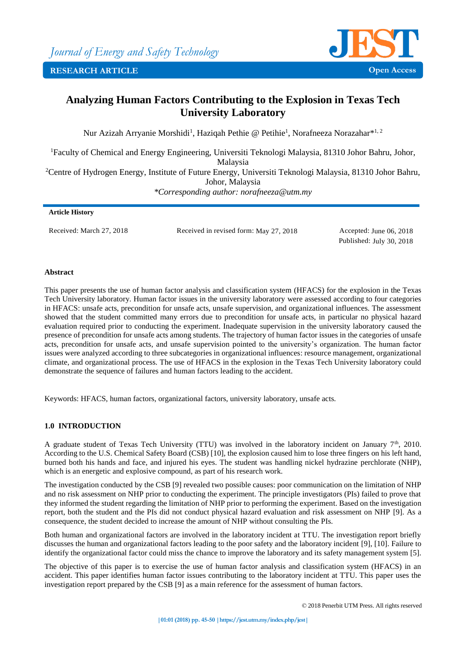

# **Analyzing Human Factors Contributing to the Explosion in Texas Tech University Laboratory**

Nur Azizah Arryanie Morshidi<sup>1</sup>, Haziqah Pethie @ Petihie<sup>1</sup>, Norafneeza Norazahar\*<sup>1, 2</sup>

<sup>1</sup>Faculty of Chemical and Energy Engineering, Universiti Teknologi Malaysia, 81310 Johor Bahru, Johor, Malaysia <sup>2</sup>Centre of Hydrogen Energy, Institute of Future Energy, Universiti Teknologi Malaysia, 81310 Johor Bahru, Johor, Malaysia *\*Corresponding author: [norafneeza@utm.my](mailto:norafneeza@utm.my)*

# **Article History** Received: March 27, 2018 Received in revised form: May 27, 2018 Accepted: June 06, 2018

Published: July 30, 2018

# **Abstract**

This paper presents the use of human factor analysis and classification system (HFACS) for the explosion in the Texas Tech University laboratory. Human factor issues in the university laboratory were assessed according to four categories in HFACS: unsafe acts, precondition for unsafe acts, unsafe supervision, and organizational influences. The assessment showed that the student committed many errors due to precondition for unsafe acts, in particular no physical hazard evaluation required prior to conducting the experiment. Inadequate supervision in the university laboratory caused the presence of precondition for unsafe acts among students. The trajectory of human factor issues in the categories of unsafe acts, precondition for unsafe acts, and unsafe supervision pointed to the university's organization. The human factor issues were analyzed according to three subcategories in organizational influences: resource management, organizational climate, and organizational process. The use of HFACS in the explosion in the Texas Tech University laboratory could demonstrate the sequence of failures and human factors leading to the accident.

Keywords: HFACS, human factors, organizational factors, university laboratory, unsafe acts*.*

# **1.0 INTRODUCTION**

A graduate student of Texas Tech University (TTU) was involved in the laboratory incident on January  $7<sup>th</sup>$ , 2010. According to the U.S. Chemical Safety Board (CSB) [10], the explosion caused him to lose three fingers on his left hand, burned both his hands and face, and injured his eyes. The student was handling nickel hydrazine perchlorate (NHP), which is an energetic and explosive compound, as part of his research work.

The investigation conducted by the CSB [9] revealed two possible causes: poor communication on the limitation of NHP and no risk assessment on NHP prior to conducting the experiment. The principle investigators (PIs) failed to prove that they informed the student regarding the limitation of NHP prior to performing the experiment. Based on the investigation report, both the student and the PIs did not conduct physical hazard evaluation and risk assessment on NHP [9]. As a consequence, the student decided to increase the amount of NHP without consulting the PIs.

Both human and organizational factors are involved in the laboratory incident at TTU. The investigation report briefly discusses the human and organizational factors leading to the poor safety and the laboratory incident [9], [10]. Failure to identify the organizational factor could miss the chance to improve the laboratory and its safety management system [5].

The objective of this paper is to exercise the use of human factor analysis and classification system (HFACS) in an accident. This paper identifies human factor issues contributing to the laboratory incident at TTU. This paper uses the investigation report prepared by the CSB [9] as a main reference for the assessment of human factors.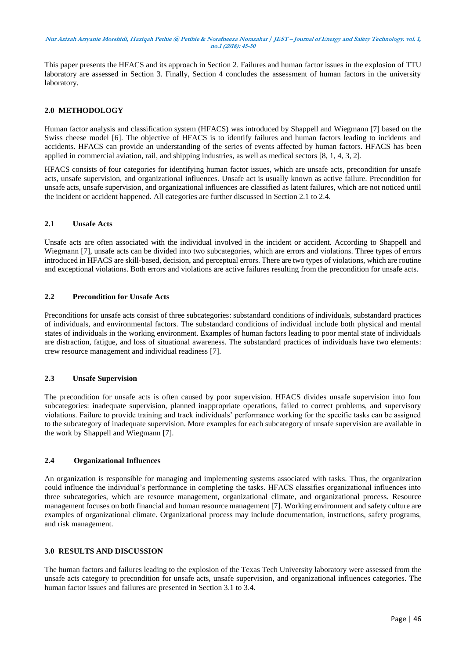This paper presents the HFACS and its approach in Section 2. Failures and human factor issues in the explosion of TTU laboratory are assessed in Section 3. Finally, Section 4 concludes the assessment of human factors in the university laboratory.

#### **2.0 METHODOLOGY**

Human factor analysis and classification system (HFACS) was introduced by Shappell and Wiegmann [7] based on the Swiss cheese model [6]. The objective of HFACS is to identify failures and human factors leading to incidents and accidents. HFACS can provide an understanding of the series of events affected by human factors. HFACS has been applied in commercial aviation, rail, and shipping industries, as well as medical sectors [8, 1, 4, 3, 2].

HFACS consists of four categories for identifying human factor issues, which are unsafe acts, precondition for unsafe acts, unsafe supervision, and organizational influences. Unsafe act is usually known as active failure. Precondition for unsafe acts, unsafe supervision, and organizational influences are classified as latent failures, which are not noticed until the incident or accident happened. All categories are further discussed in Section 2.1 to 2.4.

#### **2.1 Unsafe Acts**

Unsafe acts are often associated with the individual involved in the incident or accident. According to Shappell and Wiegmann [7], unsafe acts can be divided into two subcategories, which are errors and violations. Three types of errors introduced in HFACS are skill-based, decision, and perceptual errors. There are two types of violations, which are routine and exceptional violations. Both errors and violations are active failures resulting from the precondition for unsafe acts.

## **2.2 Precondition for Unsafe Acts**

Preconditions for unsafe acts consist of three subcategories: substandard conditions of individuals, substandard practices of individuals, and environmental factors. The substandard conditions of individual include both physical and mental states of individuals in the working environment. Examples of human factors leading to poor mental state of individuals are distraction, fatigue, and loss of situational awareness. The substandard practices of individuals have two elements: crew resource management and individual readiness [7].

## **2.3 Unsafe Supervision**

The precondition for unsafe acts is often caused by poor supervision. HFACS divides unsafe supervision into four subcategories: inadequate supervision, planned inappropriate operations, failed to correct problems, and supervisory violations. Failure to provide training and track individuals' performance working for the specific tasks can be assigned to the subcategory of inadequate supervision. More examples for each subcategory of unsafe supervision are available in the work by Shappell and Wiegmann [7].

#### **2.4 Organizational Influences**

An organization is responsible for managing and implementing systems associated with tasks. Thus, the organization could influence the individual's performance in completing the tasks. HFACS classifies organizational influences into three subcategories, which are resource management, organizational climate, and organizational process. Resource management focuses on both financial and human resource management [7]. Working environment and safety culture are examples of organizational climate. Organizational process may include documentation, instructions, safety programs, and risk management.

#### **3.0 RESULTS AND DISCUSSION**

The human factors and failures leading to the explosion of the Texas Tech University laboratory were assessed from the unsafe acts category to precondition for unsafe acts, unsafe supervision, and organizational influences categories. The human factor issues and failures are presented in Section 3.1 to 3.4.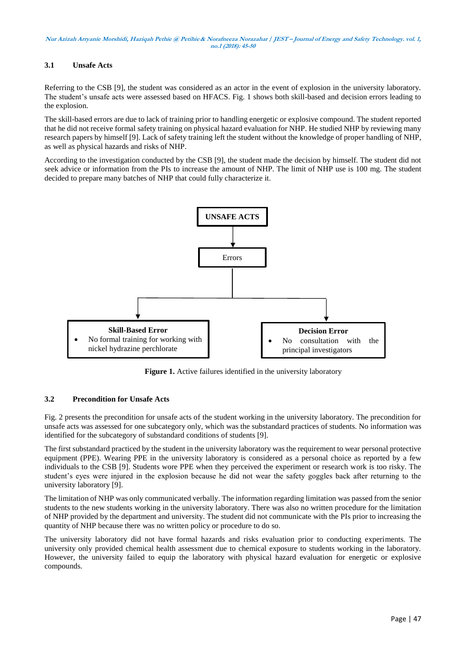# **3.1 Unsafe Acts**

Referring to the CSB [9], the student was considered as an actor in the event of explosion in the university laboratory. The student's unsafe acts were assessed based on HFACS. Fig. 1 shows both skill-based and decision errors leading to the explosion.

The skill-based errors are due to lack of training prior to handling energetic or explosive compound. The student reported that he did not receive formal safety training on physical hazard evaluation for NHP. He studied NHP by reviewing many research papers by himself [9]. Lack of safety training left the student without the knowledge of proper handling of NHP, as well as physical hazards and risks of NHP.

According to the investigation conducted by the CSB [9], the student made the decision by himself. The student did not seek advice or information from the PIs to increase the amount of NHP. The limit of NHP use is 100 mg. The student decided to prepare many batches of NHP that could fully characterize it.



**Figure 1.** Active failures identified in the university laboratory

## **3.2 Precondition for Unsafe Acts**

Fig. 2 presents the precondition for unsafe acts of the student working in the university laboratory. The precondition for unsafe acts was assessed for one subcategory only, which was the substandard practices of students. No information was identified for the subcategory of substandard conditions of students [9].

The first substandard practiced by the student in the university laboratory was the requirement to wear personal protective equipment (PPE). Wearing PPE in the university laboratory is considered as a personal choice as reported by a few individuals to the CSB [9]. Students wore PPE when they perceived the experiment or research work is too risky. The student's eyes were injured in the explosion because he did not wear the safety goggles back after returning to the university laboratory [9].

The limitation of NHP was only communicated verbally. The information regarding limitation was passed from the senior students to the new students working in the university laboratory. There was also no written procedure for the limitation of NHP provided by the department and university. The student did not communicate with the PIs prior to increasing the quantity of NHP because there was no written policy or procedure to do so.

The university laboratory did not have formal hazards and risks evaluation prior to conducting experiments. The university only provided chemical health assessment due to chemical exposure to students working in the laboratory. However, the university failed to equip the laboratory with physical hazard evaluation for energetic or explosive compounds.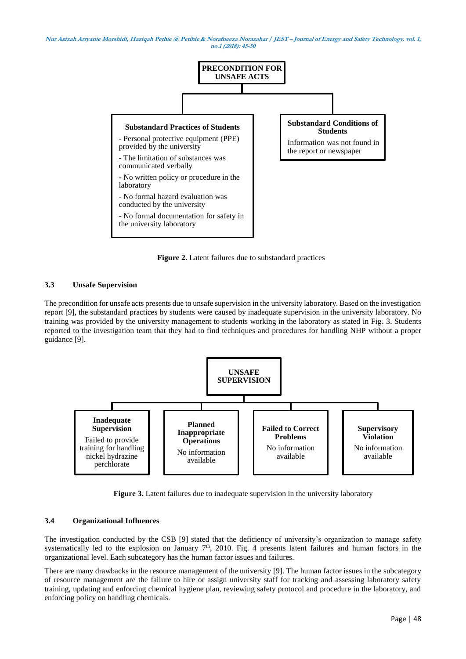

**Figure 2.** Latent failures due to substandard practices

## **3.3 Unsafe Supervision**

The precondition for unsafe acts presents due to unsafe supervision in the university laboratory. Based on the investigation report [9], the substandard practices by students were caused by inadequate supervision in the university laboratory. No training was provided by the university management to students working in the laboratory as stated in Fig. 3. Students reported to the investigation team that they had to find techniques and procedures for handling NHP without a proper guidance [9].



**Figure 3.** Latent failures due to inadequate supervision in the university laboratory

#### **3.4 Organizational Influences**

The investigation conducted by the CSB [9] stated that the deficiency of university's organization to manage safety systematically led to the explosion on January  $7<sup>th</sup>$ , 2010. Fig. 4 presents latent failures and human factors in the organizational level. Each subcategory has the human factor issues and failures.

There are many drawbacks in the resource management of the university [9]. The human factor issues in the subcategory of resource management are the failure to hire or assign university staff for tracking and assessing laboratory safety training, updating and enforcing chemical hygiene plan, reviewing safety protocol and procedure in the laboratory, and enforcing policy on handling chemicals.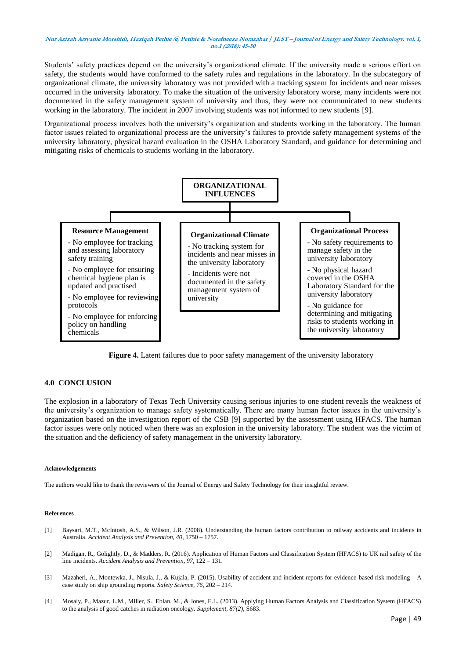Students' safety practices depend on the university's organizational climate. If the university made a serious effort on safety, the students would have conformed to the safety rules and regulations in the laboratory. In the subcategory of organizational climate, the university laboratory was not provided with a tracking system for incidents and near misses occurred in the university laboratory. To make the situation of the university laboratory worse, many incidents were not documented in the safety management system of university and thus, they were not communicated to new students working in the laboratory. The incident in 2007 involving students was not informed to new students [9].

Organizational process involves both the university's organization and students working in the laboratory. The human factor issues related to organizational process are the university's failures to provide safety management systems of the university laboratory, physical hazard evaluation in the OSHA Laboratory Standard, and guidance for determining and mitigating risks of chemicals to students working in the laboratory.



**Figure 4.** Latent failures due to poor safety management of the university laboratory

## **4.0 CONCLUSION**

The explosion in a laboratory of Texas Tech University causing serious injuries to one student reveals the weakness of the university's organization to manage safety systematically. There are many human factor issues in the university's organization based on the investigation report of the CSB [9] supported by the assessment using HFACS. The human factor issues were only noticed when there was an explosion in the university laboratory. The student was the victim of the situation and the deficiency of safety management in the university laboratory.

#### **Acknowledgements**

The authors would like to thank the reviewers of the Journal of Energy and Safety Technology for their insightful review.

#### **References**

- [1] Baysari, M.T., McIntosh, A.S., & Wilson, J.R. (2008). Understanding the human factors contribution to railway accidents and incidents in Australia. *Accident Analysis and Prevention, 40*, 1750 – 1757.
- [2] Madigan, R., Golightly, D., & Madders, R. (2016). Application of Human Factors and Classification System (HFACS) to UK rail safety of the line incidents. *Accident Analysis and Prevention, 97*, 122 – 131.
- [3] Mazaheri, A., Montewka, J., Nisula, J., & Kujala, P. (2015). Usability of accident and incident reports for evidence-based risk modeling A case study on ship grounding reports. *Safety Science, 76*, 202 – 214.
- [4] Mosaly, P., Mazur, L.M., Miller, S., Eblan, M., & Jones, E.L. (2013). Applying Human Factors Analysis and Classification System (HFACS) to the analysis of good catches in radiation oncology. *Supplement, 87(2)*, S683.